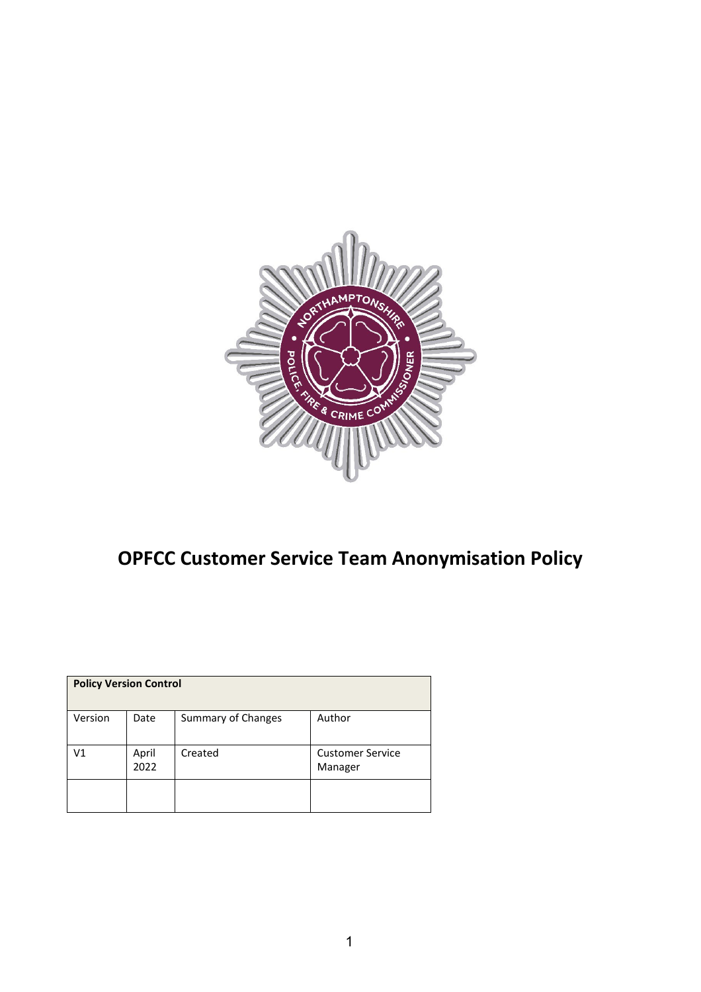

## **OPFCC Customer Service Team Anonymisation Policy**

| <b>Policy Version Control</b> |               |                    |                                    |
|-------------------------------|---------------|--------------------|------------------------------------|
| Version                       | Date          | Summary of Changes | Author                             |
| V <sub>1</sub>                | April<br>2022 | Created            | <b>Customer Service</b><br>Manager |
|                               |               |                    |                                    |